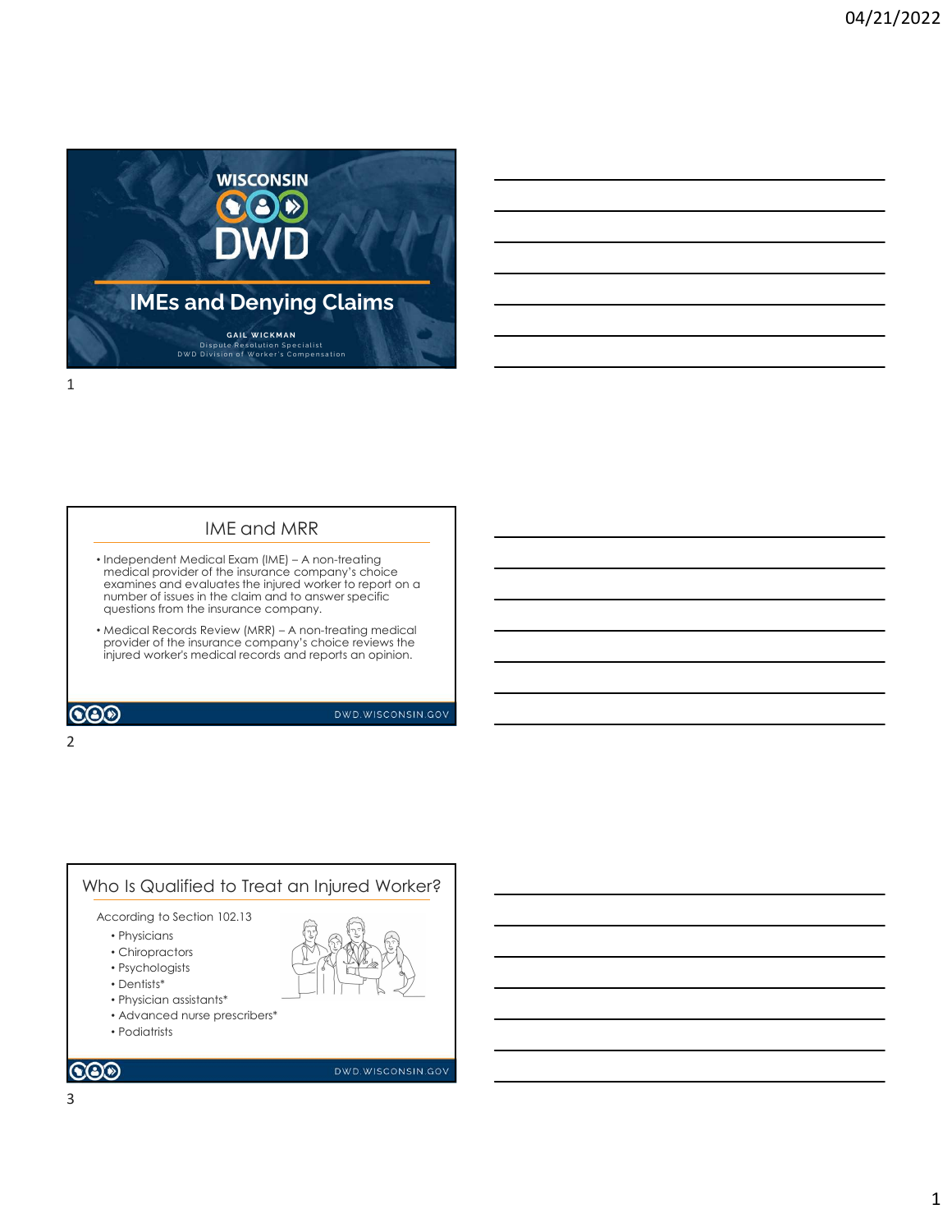

### IME and MRR

- medical provider of the insurance company's choice examines and evaluates the injured worker to report on a number of issues in the claim and to answer specific questions from the insurance company.
- injured worker's medical records and reports an opinion.

2 and 2 and 2 and 2 and 2 and 2 and 2 and 2 and 2 and 2 and 2 and 2 and 2 and 2 and 2 and 2 and 2 and 2 and 2

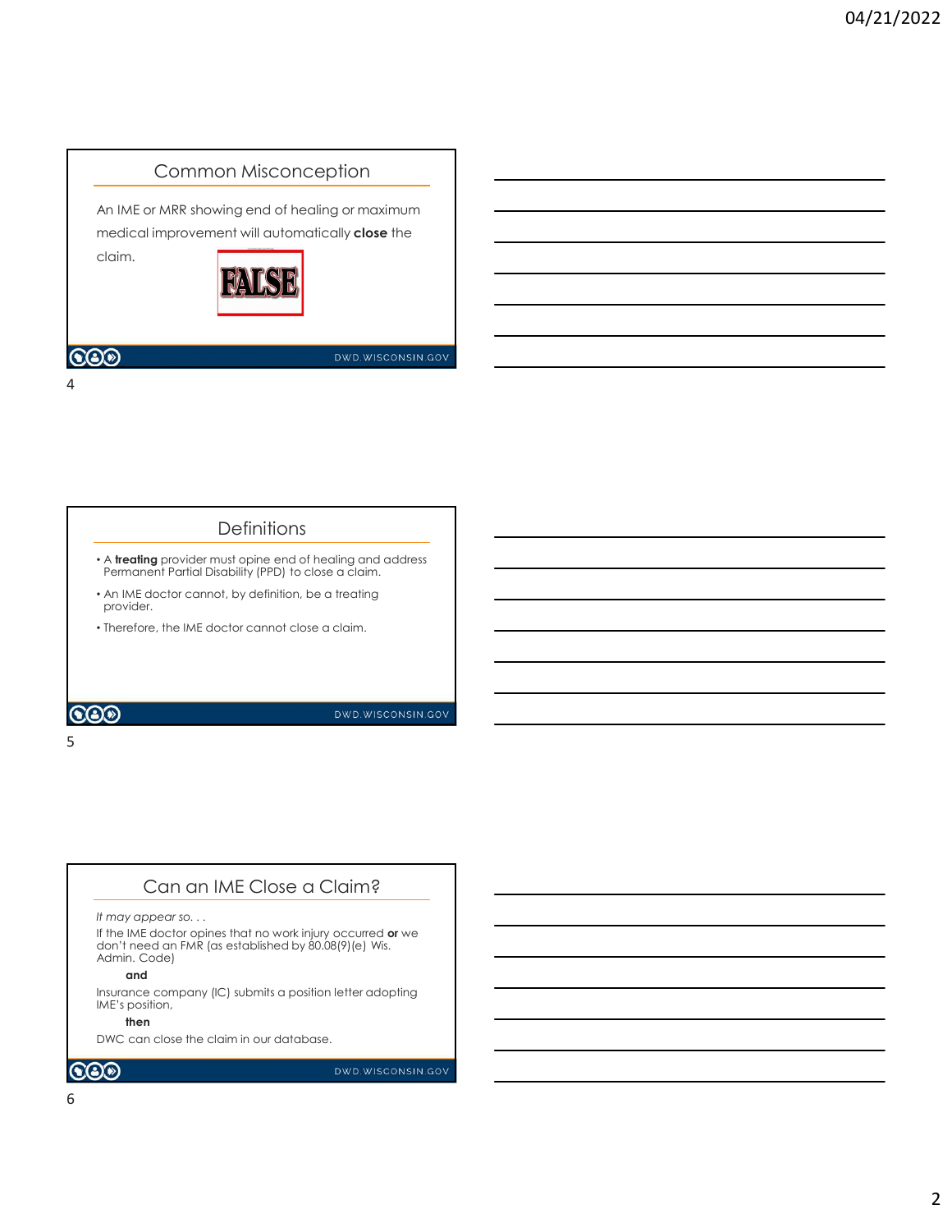

### **Definitions**

- A treating provider must opine end of healing and address Permanent Partial Disability (PPD) to close a claim.
- An IME doctor cannot, by definition, be a treating provider.
- Therefore, the IME doctor cannot close a claim.

 $5<sub>5</sub>$ 

# **COD**

DWD.WISCONSIN.GOV

# Can an IME Close a Claim?

#### It may appear so. . .

If the IME doctor opines that no work injury occurred or we don't need an FMR (as established by 80.08(9)(e) Wis. Admin. Code)

#### and

Insurance company (IC) submits a position letter adopting IME's position,

#### then the contract of the contract of the contract of the contract of the contract of the contract of the contract of the contract of the contract of the contract of the contract of the contract of the contract of the contr

DWC can close the claim in our database.

# $\odot$

DWD.WISCONSIN.GOV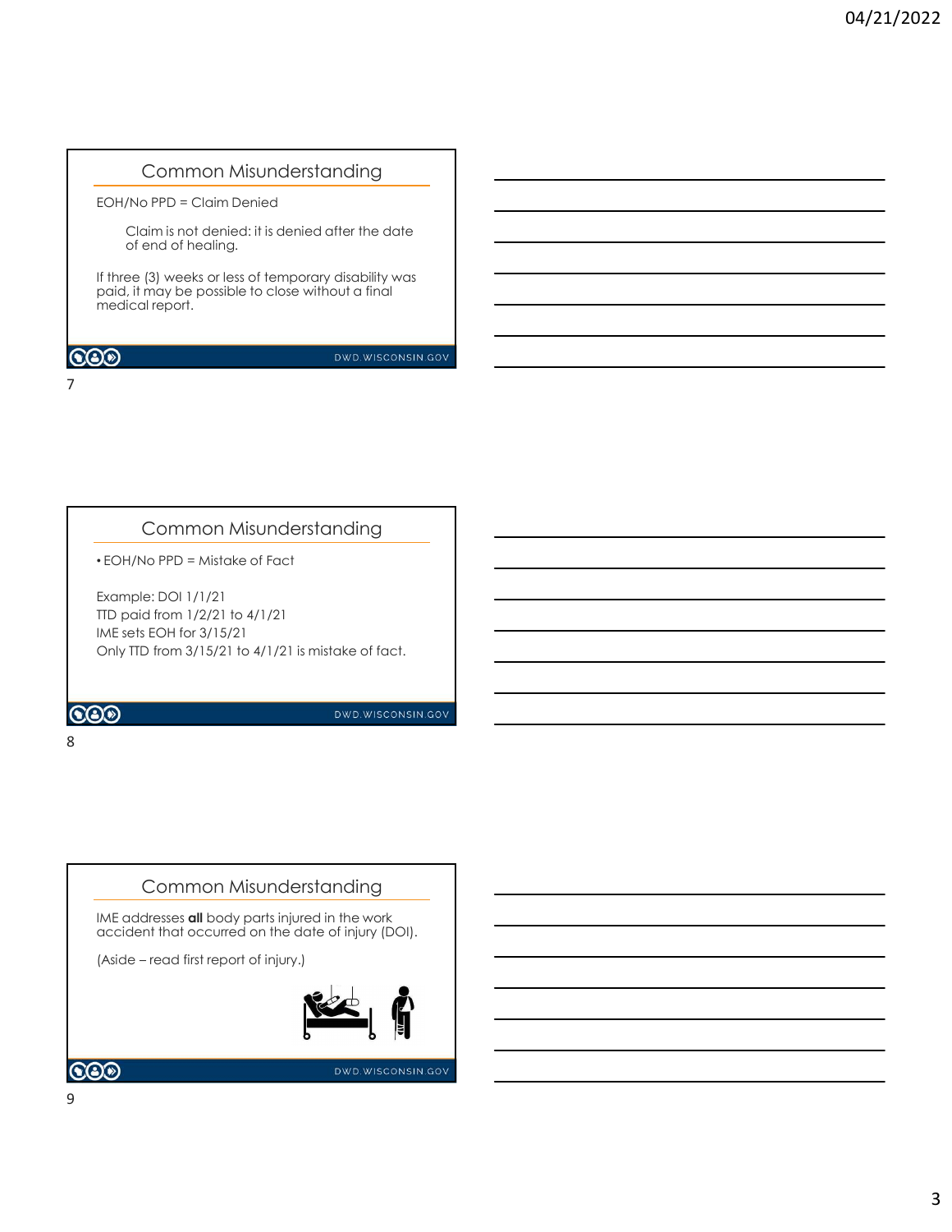# Common Misunderstanding

EOH/No PPD = Claim Denied

Claim is not denied: it is denied after the date of end of healing.

If three (3) weeks or less of temporary disability was paid, it may be possible to close without a final medical report.

### $\bigcircledS$

DWD.WISCONSIN.GOV

# Common Misunderstanding

• EOH/No PPD = Mistake of Fact

7

Example: DOI 1/1/21 TTD paid from 1/2/21 to 4/1/21 IME sets EOH for 3/15/21 Only TTD from 3/15/21 to 4/1/21 is mistake of fact.

### 8 and 2010 and 2010 and 2010 and 2010 and 2010 and 2010 and 2010 and 2010 and 2010 and 2010 and 2010 and 2010





DWD.WISCONSIN.GOV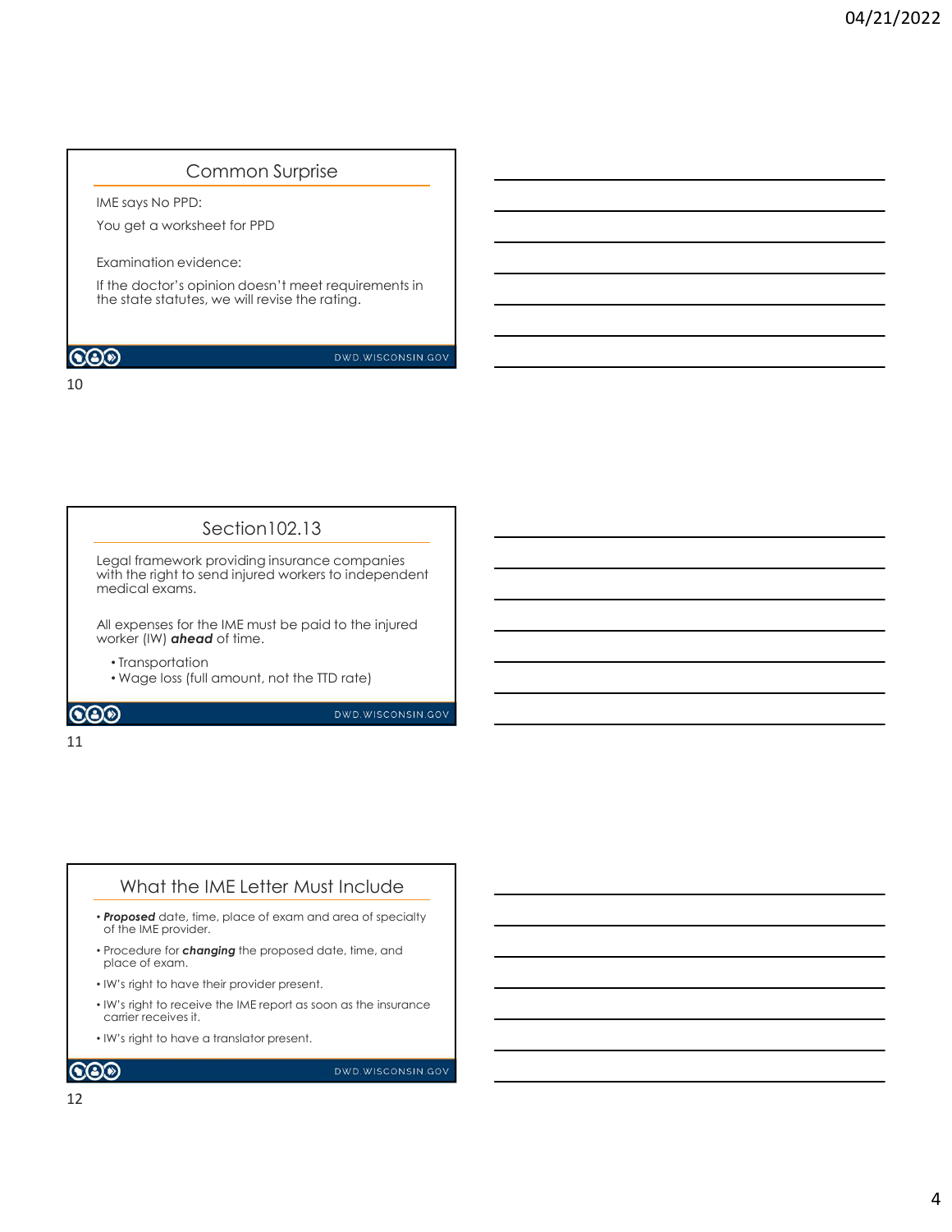# Common Surprise

IME says No PPD:

You get a worksheet for PPD

10

Examination evidence:

If the doctor's opinion doesn't meet requirements in the state statutes, we will revise the rating.

# **COD**

DWD.WISCONSIN.GOV

# Section102.13

Legal framework providing insurance companies with the right to send injured workers to independent  $\begin{array}{|c|c|} \hline \end{array}$ medical exams.

All expenses for the IME must be paid to the injured worker (IW) ahead of time.

• Transportation

• Wage loss (full amount, not the TTD rate)

### $\odot$

DWD.WISCONSIN.GOV

#### 11

## What the IME Letter Must Include

- Proposed date, time, place of exam and area of specialty of the IME provider.
- Procedure for *changing* the proposed date, time, and place of exam.
- IW's right to have their provider present.
- IW's right to receive the IME report as soon as the insurance carrier receives it.
- IW's right to have a translator present.

 $\odot$ 

DWD.WISCONSIN.GOV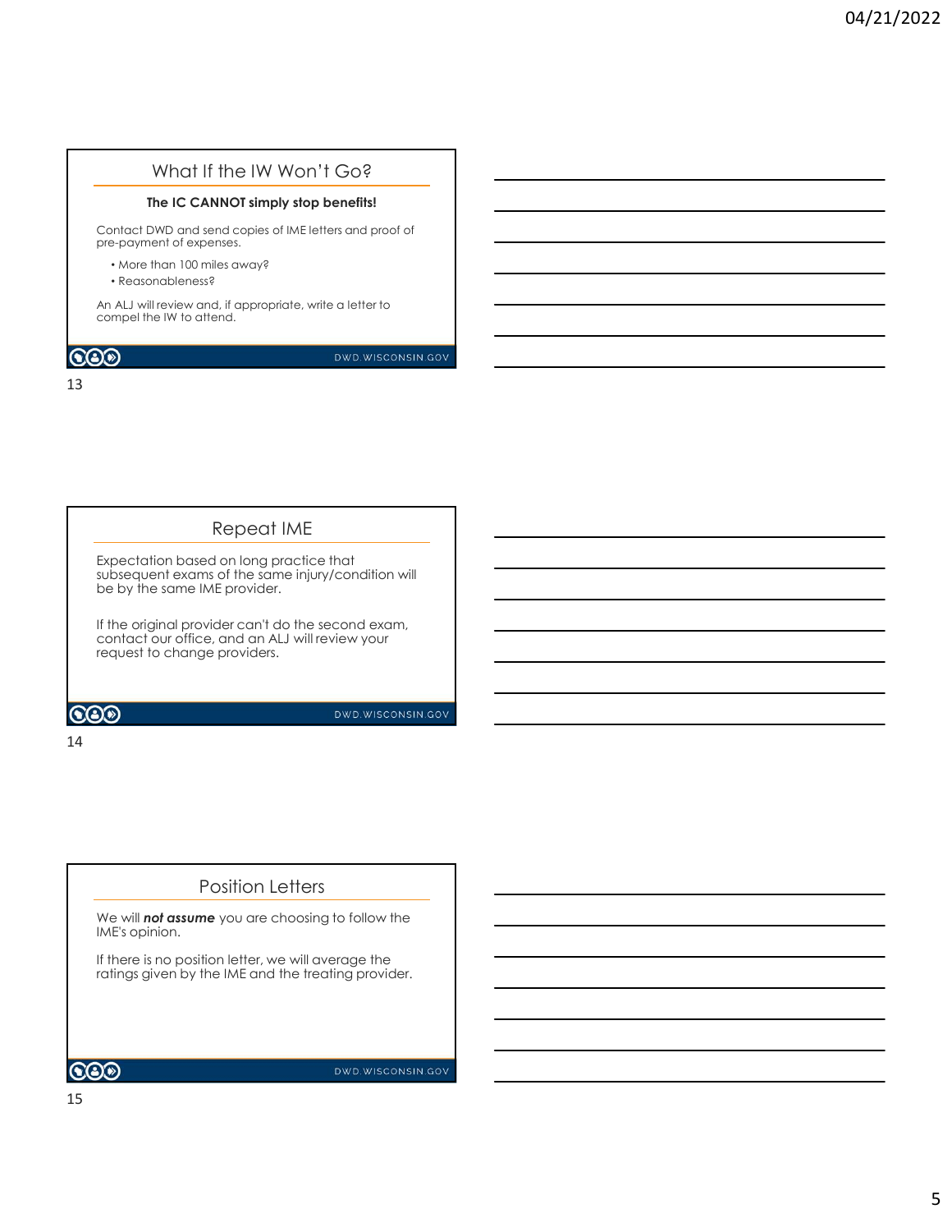# What If the IW Won't Go?

#### The IC CANNOT simply stop benefits!

Contact DWD and send copies of IME letters and proof of pre-payment of expenses.

- More than 100 miles away?
- Reasonableness?

An ALJ will review and, if appropriate, write a letter to compel the IW to attend.

# $CO<sup>o</sup>$

DWD.WISCONSIN.GOV

13

# Repeat IME

Expectation based on long practice that subsequent exams of the same injury/condition will be by the same IME provider.

If the original provider can't do the second exam, The Manuscription of the second example of the second state contact our office, and an ALJ will review your request to change providers.

 $\odot$ 

DWD.WISCONSIN.GOV

#### 14

# Position Letters

We will **not assume** you are choosing to follow the IME's opinion.

If there is no position letter, we will average the ratings given by the IME and the treating provider.

 $\odot$ 

DWD.WISCONSIN.GOV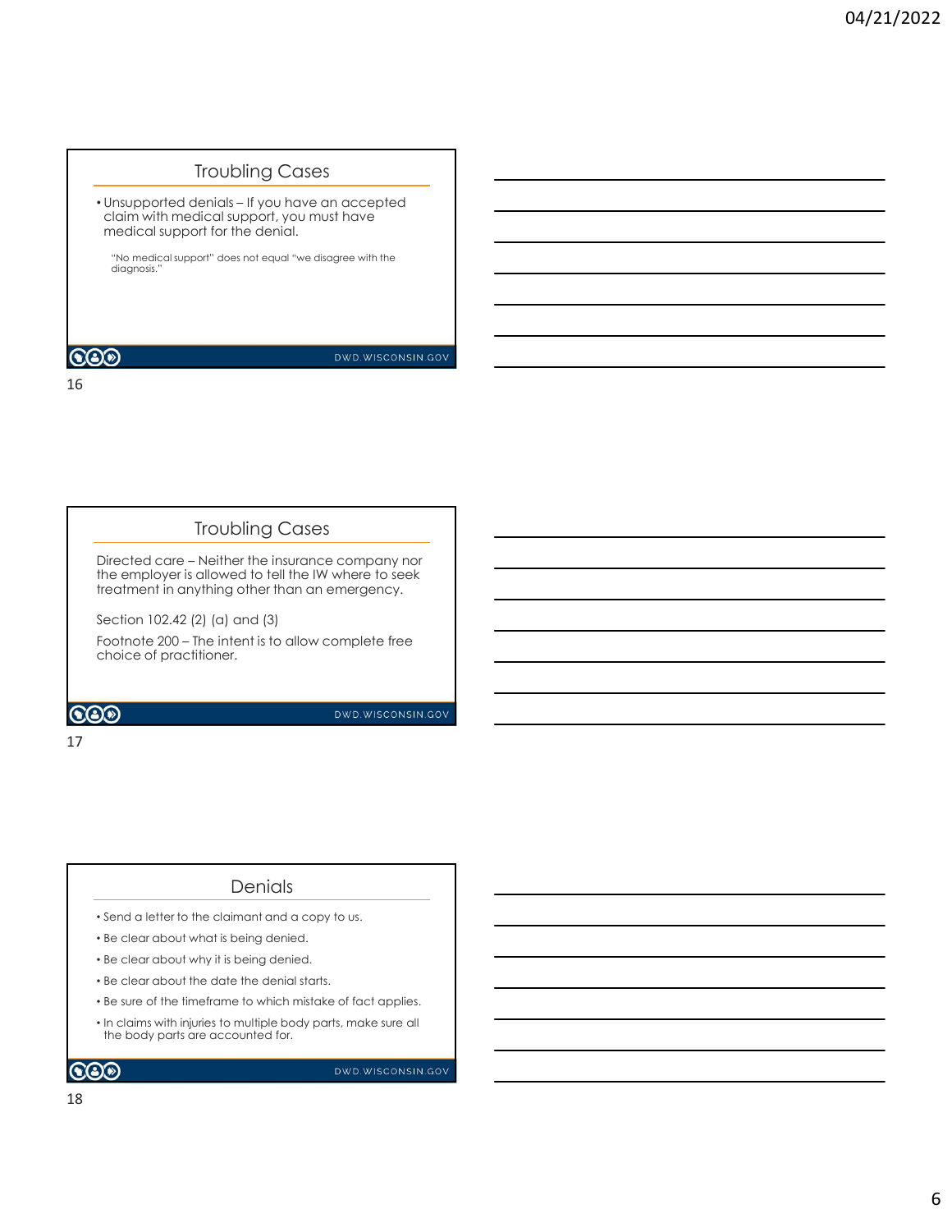# Troubling Cases

Froubling Cases<br>• Unsupported denials – If you have an accepted<br>claim with medical support, you must have<br>medical support for the denial.<br>\*No medicalsupport" does not equal "we disagree with the<br>diagnosis." • Unsupported denials – If you have an accepted<br>claim with medical support, you must have medical support for the denial.

"No medical support" does not equal "we disagree with the diagnosis."

16

# Troubling Cases

Troubling Cases<br>
• Unsupported denials – If you have an accepted<br>
medical support for the denial.<br>
• "No medical support" assessed equal "we diagree with the<br>
order of the denial.<br>
• "No medical support" assessed equal "we treatment in anything other than an emergency.

Troubling Cases<br>
The employed to the Instants - In you have an accepted<br>
claim with medical support for the denial.<br>
The denial support for the denial.<br>
The amazing and the IN where the INTER SUPPOSE of the summer<br>
The emp Section 102.42 (2) (a) and (3) Frequencies<br>
The medical support " does not equal "we disagree with the<br>
diagnosis."<br> **Footnote 200 – The intent intent is to allow complete free insurance company not<br>
The employer is allowed to tell the IW where to seek<br>** choice of practitioner.

### 17

# **Denials**

- Send a letter to the claimant and a copy to us.
- Be clear about what is being denied.
- Be clear about why it is being denied.
- Be clear about the date the denial starts.
- Be sure of the timeframe to which mistake of fact applies.
- In claims with injuries to multiple body parts, make sure all the body parts are accounted for.

 $\bigcircledS$ 

DWD.WISCONSIN.GOV